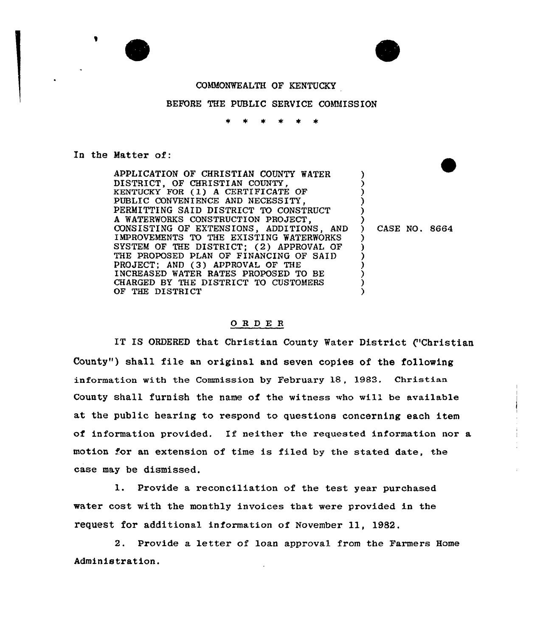

## BEFORE THE PUBLIC SERVICE COMMISSION

In the Mattex of:

APPLICATION OF CHRISTIAN COUNTY WATER DISTRICT, OF CHRISTIAN COUNTY, KENTUCKY FOR (1) <sup>A</sup> CERTIFICATE OF PUBLIC CONVENIENCE AND NECESSITY, PERMITTING SAID DISTRICT TO CONSTRUCT A WATERWORKS CONSTRUCTION PROJECT, CONSISTING OF EXTENSIONS, ADDITIONS, AND IMPROVEMENTS TO THE EXISTING WATERWORKS SYSTEM OF THE DISTRICT; (2) APPROVAL OF THE PROPOSED PLAN OF FINANCING OF SAID PROJECT; AND (3) APPROVAL OF THE INCREASED WATER RATES PROPOSED TO BE CHARGED BY THE DISTRICT TO CUSTOMERS OF THE DISTRICT

) CASE NO. 8664

)  $\overline{\mathcal{E}}$ ) ) ) )

) ) ) ) ) ) )

# ORDZ <sup>R</sup>

IT IS ORDERED that Christian County Water District ("Christian County") shall file an original and seven copies of the following information with the Commission by February 18, 1983. Christian County shall furnish the name of the witness who will be available at the public hearing to respond to questions concerning each item of information provided. If neither the requested information nor a motion for an extension of time is filed by the stated date, the case may be dismissed.

l. Provide <sup>a</sup> reconciliation of the test year purchased water cost with the monthly invoices that were provided in the request for additional information of November 11, 1982.

2. Provide a letter of loan approval from the Farmers Home Administration.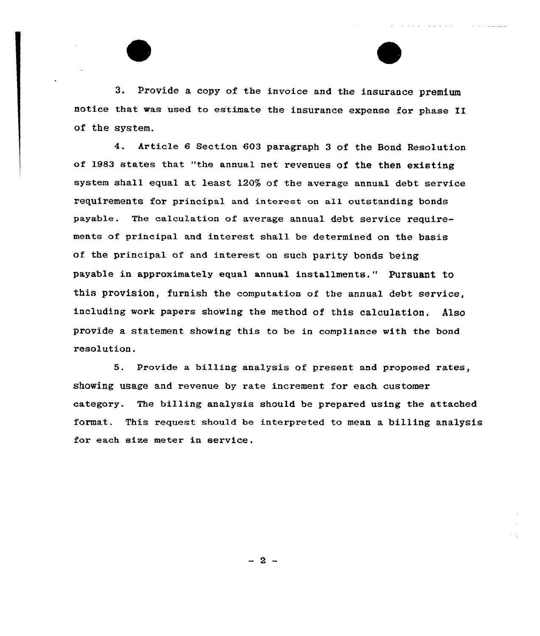3. Provide a copy of the invoice and the insurance premium notice that was used to estimate the insurance expense for phase II of the system.

4. Article 6 Section 603 paragraph <sup>3</sup> of the Bond Resolution of l983 states that "the annual net revenues of the then existing system shall equal at least 120% of the average annual debt service requirements for principal and interest on all outstanding bonds payable. The calculation of average annual debt service requirements of principal and interest shall be determined on the basis of the principal of and interest on such parity bonds being payable in approximately equal annual installments." Pursuant to this provision, furnish the computation of the annual debt service, including work papers showing the method of this calculation. Also provide a statement showing this to be in compliance with the bond resolution.

5. provide a billing analysis of present and proposed rates, showing usage and revenue by rate increment for each customer category. The billing analysis should be prepared using the attached format. This request should be interpreted to mean a billing analysis for each size meter in service.

 $-2-$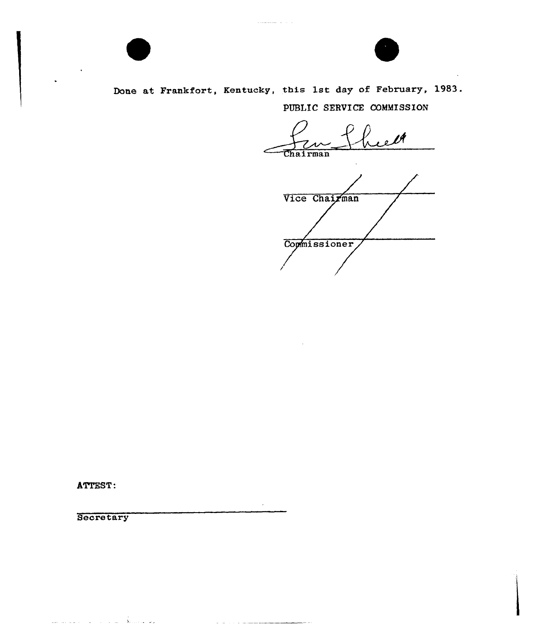

Done at Frankfort, Kentucky, this 1st day of February, 1983.

 $\label{eq:1} \begin{array}{lllllllllll} \hline \text{L} & \text{L} & \text{L} & \text{L} & \text{L} & \text{L} & \text{L} \\ \hline \text{L} & \text{L} & \text{L} & \text{L} & \text{L} & \text{L} & \text{L} & \text{R} \\ \hline \text{L} & \text{L} & \text{L} & \text{L} & \text{L} & \text{R} & \text{R} & \text{R} \\ \hline \text{L} & \text{L} & \text{L} & \text{L} & \text{R} & \text{R} & \text{R} & \text{R} & \text{$ 

 $\sim$ 

the contract of the contract and an

PUBLIC SERVICE COMMISSION

Ú Chairman

Vice Chairman Commissioner

**ATTEST:** 

**Secretary** 

الفطاط ومنتقلة المساعي بالمناصر والمستحدث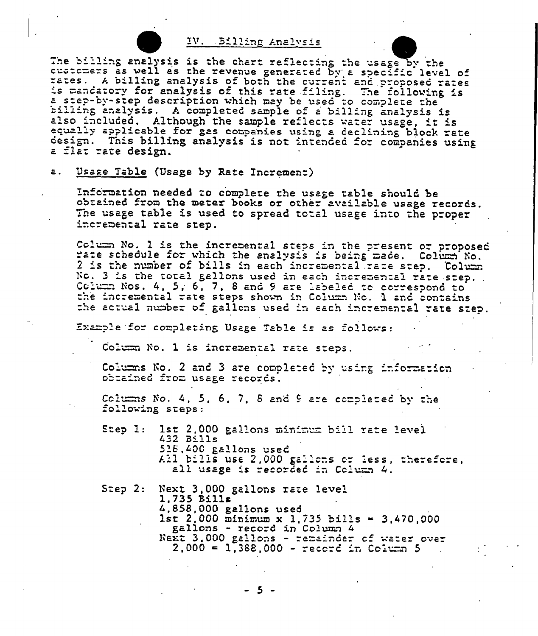# IV. Billing Analysis

The billing analysis is the chart reflecting the usage by the customers as well as the revenue generated by a specific level of rates. A billing analysis of both the current and proposed rates is mandatory for analysis of this rate filing. The following is<br>a step-by-step description which may be used to complete the billing analysis. A completed sample of a billing analysis is also included. Although the sample reflects water usage, it is equally applicable for gas companies using a declining block rate design. This billing analysis is not intended for companies using a flat rate design.

#### Usage Table (Usage by Rate Increment)  $\epsilon$ .

Information needed to complete the usage table should be obtained from the meter books or other available usage records. The usage table is used to spread total usage into the proper incremental rate step.

Column No. 1 is the incremental steps in the present or proposed fate schedule for which the analysis is being made. Column No. 2 is the number of bills in each incremental rate step. Column No. 3 is the total gallons used in each incremental rate step. Column Nos. 4, 5, 6, 7, 8 and 9 are labeled to correspond to the incremental rate steps shown in Column No. 1 and contains the actual number of gallons used in each incremental rate step.

Example for completing Usage Table is as follows:

Column No. 1 is incremental rate steps.

Columns No. 2 and 3 are completed by using information obtained from usage records.

Columns No. 4, 5, 6, 7, 8 and 9 are completed by the following steps:

- 1st 2,000 gallons minimum bill rate level  $Step 1:$ 432 Bills 518,400 gallons used All bills use 2,000 gallons or less, therefore, all usage is recorded in Column 4.
- $Step 2:$ Next 3,000 gallons rate level 1,735 Bills 4,858,000 gallons used  $1st$  2,000 minimum x 1,735 bills = 3,470,000 gallons - record in Column 4 Next 3,000 gallons - remainder of water over  $2,000 = 1,388,000 - \text{record in Column 5}$

-5-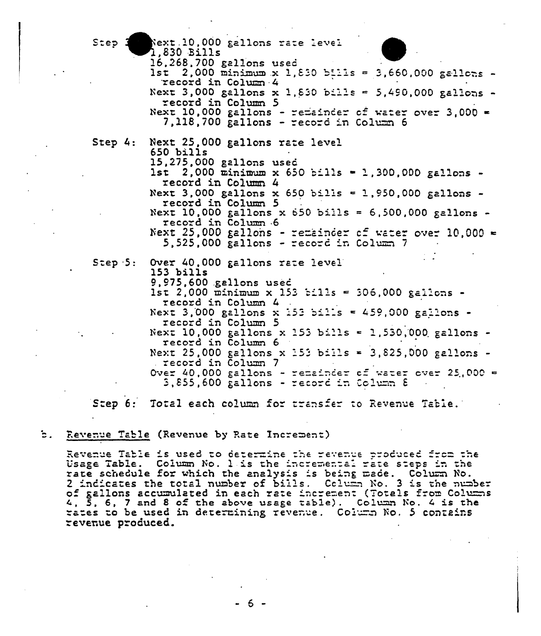Step 3 Next.10,000 gallons rate level 7.830 Bills 16,268,700 gallons used<br>lst 2,000 minimum x 1,830 bills = 3,660,000 gallons record in Column 4 Next 3,000 gallons x 1,830 bills = 5,490,000 gallons record in Column 5 Next 10,000 gallons - remainder of water over 3,000 = 7,118,700 gallons - record in Column 6  $Step 4:$ Next 25,000 gallons rate level  $650$  bills 15,275,000 gallons used  $1st$  2,000  $min_{max} x 650$  bills = 1,300,000 gallons record in Column 4 Next 3,000 gallons x 650 bills = 1,950,000 gallons record in Column 5 Next 10,000 gallons x 650 bills = 6,500,000 gallons record in Column 6 Next 25,000 gallons - remainder of water over 10,000 = 5,525,000 gallons - record in Column 7 Step 5: Over 40,000 gallons rate level 153 bills  $9,975,600$  gellons used  $1st$  2,000 minimum x 153 bills = 306,000 gallons record in Column 4 Next 3,000 gallons x 153 bills = 459,000 gallons record in Column 5 Next 10,000 gallons x 153 bills = 1,530,000 gallons record in Column 6 Next 25,000 gallons x 153 bills = 3,825,000 gallons record in Column 7 Over 40,000 gallons - remainder of water over 25,000 =

Step 6: Total each column for transfer to Revenue Table.

 $3,855,600$  gallons - record in Column  $\epsilon$ 

b. Revenue Table (Revenue by Rate Increment)

Revenue Table is used to determine the revenue produced from the Usage Table. Column No. 1 is the incremental rate steps in the rate schedule for which the analysis is being made. Column No.<br>2 indicates the total number of bills. Column No. 3 is the number of gallons accumulated in each rate increment (Totals from Columns 4,  $\bar{5}$ , 6, 7 and 8 of the above usage table). Column No. 4 is the rates to be used in determining revenue. Column No. 5 contains revenue produced.

- 6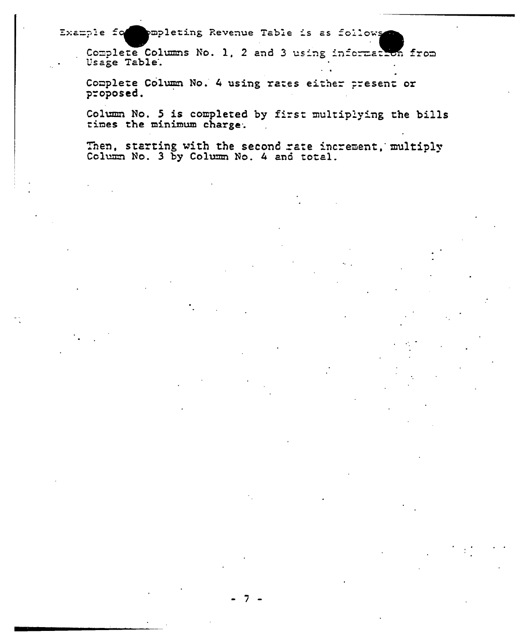### pmpleting Revenue Table is as follows Example for

Complete Columns No. 1, 2 and 3 using information from

Complete Column No. 4 using rates either present or proposed.

Column No. 5 is completed by first multiplying the bills times the minimum charge.

Then, starting with the second rate increment, multiply Column No. 3 by Column No. 4 and total.